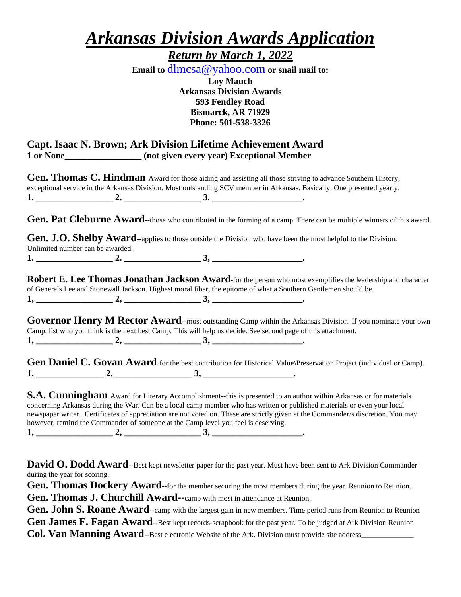# *Arkansas Division Awards Application*

*Return by March 1, 2022*

**Email to** dlmcsa@yahoo.com **or snail mail to: Loy Mauch Arkansas Division Awards 593 Fendley Road Bismarck, AR 71929 Phone: 501-538-3326**

#### **Capt. Isaac N. Brown; Ark Division Lifetime Achievement Award 1 or None\_\_\_\_\_\_\_\_\_\_\_\_\_\_\_\_\_ (not given every year) Exceptional Member**

**Gen. Thomas C. Hindman** Award for those aiding and assisting all those striving to advance Southern History, exceptional service in the Arkansas Division. Most outstanding SCV member in Arkansas. Basically. One presented yearly. **1. \_\_\_\_\_\_\_\_\_\_\_\_\_\_\_\_\_ 2. \_\_\_\_\_\_\_\_\_\_\_\_\_\_\_\_\_ 3. \_\_\_\_\_\_\_\_\_\_\_\_\_\_\_\_\_\_\_\_.**

Gen. Pat Cleburne Award--those who contributed in the forming of a camp. There can be multiple winners of this award.

**Gen. J.O. Shelby Award**--applies to those outside the Division who have been the most helpful to the Division. Unlimited number can be awarded.

**1. \_\_\_\_\_\_\_\_\_\_\_\_\_\_\_\_\_ 2. \_\_\_\_\_\_\_\_\_\_\_\_\_\_\_\_\_ 3, \_\_\_\_\_\_\_\_\_\_\_\_\_\_\_\_\_\_\_\_.**

**Robert E. Lee Thomas Jonathan Jackson Award**-for the person who most exemplifies the leadership and character of Generals Lee and Stonewall Jackson. Highest moral fiber, the epitome of what a Southern Gentlemen should be.  $1, \underline{\hspace{1.5cm}} 2, \underline{\hspace{1.5cm}} 3, \underline{\hspace{1.5cm}} 3, \underline{\hspace{1.5cm}}$ 

Governor Henry M Rector Award--most outstanding Camp within the Arkansas Division. If you nominate your own Camp, list who you think is the next best Camp. This will help us decide. See second page of this attachment.  $1, \underline{\hspace{1.5cm}} 2, \underline{\hspace{1.5cm}} 3, \underline{\hspace{1.5cm}} 1, \underline{\hspace{1.5cm}}$ 

Gen Daniel C. Govan Award for the best contribution for Historical Value\Preservation Project (individual or Camp). **1, \_\_\_\_\_\_\_\_\_\_\_\_\_\_\_ 2, \_\_\_\_\_\_\_\_\_\_\_\_\_\_\_\_\_ 3, \_\_\_\_\_\_\_\_\_\_\_\_\_\_\_\_\_\_\_\_.**

**S.A. Cunningham** Award for Literary Accomplishment--this is presented to an author within Arkansas or for materials concerning Arkansas during the War. Can be a local camp member who has written or published materials or even your local newspaper writer . Certificates of appreciation are not voted on. These are strictly given at the Commander/s discretion. You may however, remind the Commander of someone at the Camp level you feel is deserving.

**1, \_\_\_\_\_\_\_\_\_\_\_\_\_\_\_\_\_ 2, \_\_\_\_\_\_\_\_\_\_\_\_\_\_\_\_\_ 3, \_\_\_\_\_\_\_\_\_\_\_\_\_\_\_\_\_\_\_\_.**

**David O. Dodd Award**--Best kept newsletter paper for the past year. Must have been sent to Ark Division Commander during the year for scoring.

**Gen. Thomas Dockery Award**--for the member securing the most members during the year. Reunion to Reunion.

**Gen. Thomas J. Churchill Award--**camp with most in attendance at Reunion.

Gen. John S. Roane Award--camp with the largest gain in new members. Time period runs from Reunion to Reunion Gen James F. Fagan Award--Best kept records-scrapbook for the past year. To be judged at Ark Division Reunion **Col. Van Manning Award**--Best electronic Website of the Ark. Division must provide site address\_\_\_\_\_\_\_\_\_\_\_\_\_\_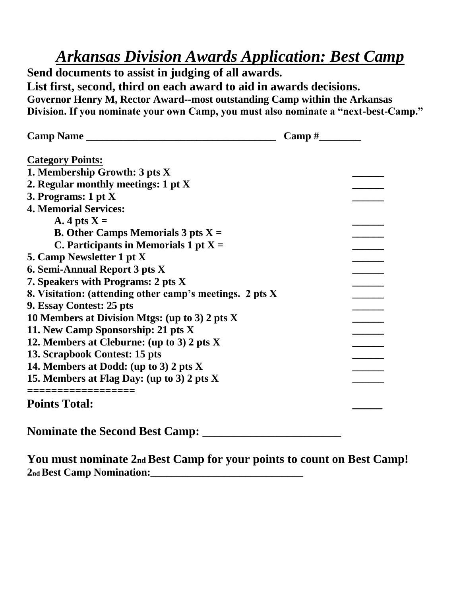### *Arkansas Division Awards Application: Best Camp*

**Send documents to assist in judging of all awards. List first, second, third on each award to aid in awards decisions. Governor Henry M, Rector Award--most outstanding Camp within the Arkansas Division. If you nominate your own Camp, you must also nominate a "next-best-Camp."**

| Camp Name                                                |  |
|----------------------------------------------------------|--|
| <b>Category Points:</b>                                  |  |
| 1. Membership Growth: 3 pts X                            |  |
| 2. Regular monthly meetings: 1 pt X                      |  |
| 3. Programs: $1 pt X$                                    |  |
| <b>4. Memorial Services:</b>                             |  |
| A. 4 pts $X =$                                           |  |
| <b>B.</b> Other Camps Memorials $3$ pts $X =$            |  |
| C. Participants in Memorials 1 pt $X =$                  |  |
| 5. Camp Newsletter 1 pt X                                |  |
| 6. Semi-Annual Report 3 pts X                            |  |
| 7. Speakers with Programs: 2 pts X                       |  |
| 8. Visitation: (attending other camp's meetings. 2 pts X |  |
| 9. Essay Contest: 25 pts                                 |  |
| 10 Members at Division Mtgs: (up to 3) 2 pts X           |  |
| 11. New Camp Sponsorship: 21 pts X                       |  |
| 12. Members at Cleburne: (up to 3) 2 pts X               |  |
| 13. Scrapbook Contest: 15 pts                            |  |
| 14. Members at Dodd: (up to 3) 2 pts X                   |  |
| 15. Members at Flag Day: (up to 3) 2 pts X               |  |
| -------------------                                      |  |
| <b>Points Total:</b>                                     |  |
| <b>Nominate the Second Best Camp:</b>                    |  |

**You must nominate 2nd Best Camp for your points to count on Best Camp! 2nd Best Camp Nomination:\_\_\_\_\_\_\_\_\_\_\_\_\_\_\_\_\_\_\_\_\_\_\_\_\_\_\_\_\_**